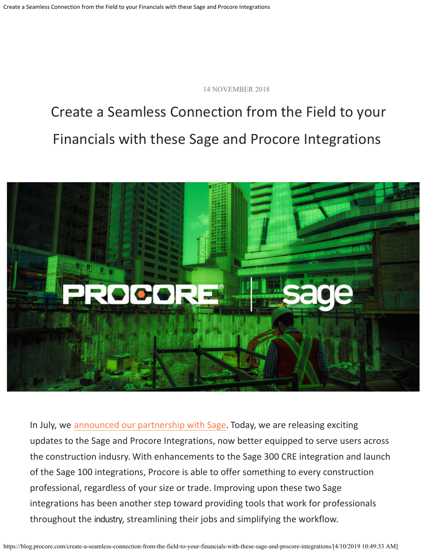14 NOVEMBER 2018

# Create a Seamless Connection from the Field to your Financials with these Sage and Procore Integrations



In July, we [announced our partnership with Sage](https://blog.procore.com/procore-and-sage-partner-to-integrate-project-management-and-accounting-processes/). Today, we are releasing exciting updates to the Sage and Procore Integrations, now better equipped to serve users across the construction indusry. With enhancements to the Sage 300 CRE integration and launch of the Sage 100 integrations, Procore is able to offer something to every construction professional, regardless of your size or trade. Improving upon these two Sage integrations has been another step toward providing tools that work for professionals throughout the industry, streamlining their jobs and simplifying the workflow.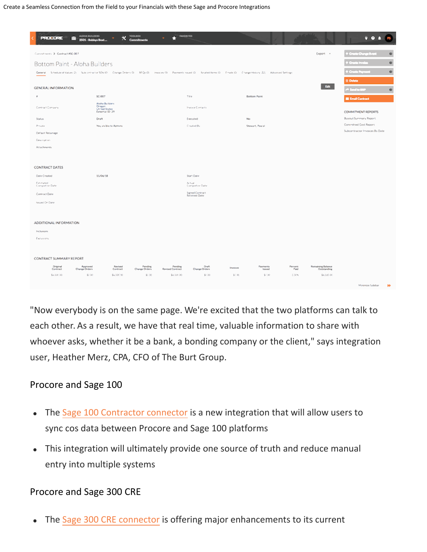| <b>PROGRESS</b>                                                                                                                                                            | AUDIOA BUILDERS<br>2501 - Bobbys Boat                       | <b>TOOLBOX</b><br>$\times$ continue | <b>VALIDATES</b><br>n              |                                  |                   |                     |                                                     | 9.04<br>B                                    |
|----------------------------------------------------------------------------------------------------------------------------------------------------------------------------|-------------------------------------------------------------|-------------------------------------|------------------------------------|----------------------------------|-------------------|---------------------|-----------------------------------------------------|----------------------------------------------|
| Conventments, 31 Contract #50-007                                                                                                                                          |                                                             |                                     |                                    |                                  |                   |                     | Екроп -                                             | $\bullet$<br><sup>,</sup> Creda Changa Brasi |
| Bottom Paint - Aloha Builders                                                                                                                                              |                                                             |                                     |                                    |                                  |                   |                     |                                                     | <b>Crooks Insula</b><br>۰                    |
| General Schedule of Values (2) Suits on the factor Change Onders Or - REGULD - Investment Or - Peace Received Reveal Dr. - English Change History (22) - Advanced Settings |                                                             |                                     |                                    |                                  |                   |                     |                                                     | ø<br><b>Crade Pays</b>                       |
|                                                                                                                                                                            |                                                             |                                     |                                    |                                  |                   |                     |                                                     | <b>B</b> Delete                              |
| GENERAL INFORMATION                                                                                                                                                        |                                                             |                                     |                                    |                                  |                   |                     | <b>East</b>                                         | <sup>ek</sup> Smithi<br>o                    |
| $\theta$                                                                                                                                                                   | SC-007                                                      |                                     |                                    | Tée                              |                   | <b>Bottom Paint</b> |                                                     | <b>E Email Contract</b>                      |
| Contract Company                                                                                                                                                           | Abdul Bulletin<br>Oregon<br>Un'ted States<br>External ID 29 |                                     |                                    | Invoice Contacts                 |                   |                     |                                                     | COMMITMENT REPORTS                           |
| Status.                                                                                                                                                                    | Draft                                                       |                                     |                                    | Executed:                        |                   | No                  |                                                     | <b>Buyout Summary Report</b>                 |
| Private                                                                                                                                                                    | Yes, visible to Admins                                      |                                     |                                    | Created By                       |                   | Stewart, Pascal     |                                                     | Committed Cost Report                        |
| Default Retainage                                                                                                                                                          |                                                             |                                     |                                    |                                  |                   |                     |                                                     | Subcontractor Invoices By Date               |
| <b>Clear must sless</b>                                                                                                                                                    |                                                             |                                     |                                    |                                  |                   |                     |                                                     |                                              |
| Attachments.                                                                                                                                                               |                                                             |                                     |                                    |                                  |                   |                     |                                                     |                                              |
|                                                                                                                                                                            |                                                             |                                     |                                    |                                  |                   |                     |                                                     |                                              |
| <b>CONTRACT DATES</b>                                                                                                                                                      |                                                             |                                     |                                    |                                  |                   |                     |                                                     |                                              |
| Date Created                                                                                                                                                               | 11/06/18                                                    |                                     |                                    | Start Date                       |                   |                     |                                                     |                                              |
| Estimated:<br>Compatible Date                                                                                                                                              |                                                             |                                     |                                    | Actual:<br>Competer Date         |                   |                     |                                                     |                                              |
| Contract Date                                                                                                                                                              |                                                             |                                     |                                    | Signed Contract<br>Received Date |                   |                     |                                                     |                                              |
| Issued Dr Date                                                                                                                                                             |                                                             |                                     |                                    |                                  |                   |                     |                                                     |                                              |
|                                                                                                                                                                            |                                                             |                                     |                                    |                                  |                   |                     |                                                     |                                              |
| ADDITIONAL INFORMATION                                                                                                                                                     |                                                             |                                     |                                    |                                  |                   |                     |                                                     |                                              |
| Inclusions                                                                                                                                                                 |                                                             |                                     |                                    |                                  |                   |                     |                                                     |                                              |
| Electronic                                                                                                                                                                 |                                                             |                                     |                                    |                                  |                   |                     |                                                     |                                              |
|                                                                                                                                                                            |                                                             |                                     |                                    |                                  |                   |                     |                                                     |                                              |
| CONTRACT SUMMARY REPORT                                                                                                                                                    |                                                             |                                     |                                    |                                  |                   |                     |                                                     |                                              |
| Original<br>Confesot<br>Change Orders                                                                                                                                      | Revised<br>Approved<br>Contract                             | Pending<br>Change Orders            | Pending<br><b>Revised Contract</b> | Draft<br>Change Orders           | <b>Structures</b> | Payments<br>Issued  | Remaining Balance<br>Persons<br>Paid<br>Outstanding |                                              |
| \$4,000.00                                                                                                                                                                 | \$2.00<br>\$4,000.00                                        | \$0.00                              | \$4,000.00                         | \$1.00                           | \$0.00            | \$1.00              | 0.00%<br>\$4,000.00                                 |                                              |
|                                                                                                                                                                            |                                                             |                                     |                                    |                                  |                   |                     |                                                     | Materials Safebar<br><b>M</b>                |

"Now everybody is on the same page. We're excited that the two platforms can talk to each other. As a result, we have that real time, valuable information to share with whoever asks, whether it be a bank, a bonding company or the client," says integration user, Heather Merz, CPA, CFO of The Burt Group.

#### Procore and Sage 100

- The [Sage 100 Contractor connector](https://go.procore.com/construction-financials-sage-connector-demo.html?utm_medium=Social&utm_source=Procore-Blog&utm_campaign=PROD_CFIN&utm_term=Sage-100-300-blog&utm_content=Sage-combo-demo) is a new integration that will allow users to  $\bullet$ sync cos data between Procore and Sage 100 platforms
- This integration will ultimately provide one source of truth and reduce manual entry into multiple systems

#### Procore and Sage 300 CRE

The [Sage 300 CRE connector](https://go.procore.com/construction-financials-sage-connector-demo.html?utm_medium=Social&utm_source=Procore-Blog&utm_campaign=PROD_CFIN&utm_term=Sage-100-300-blog&utm_content=Sage-combo-demo) is offering major enhancements to its current